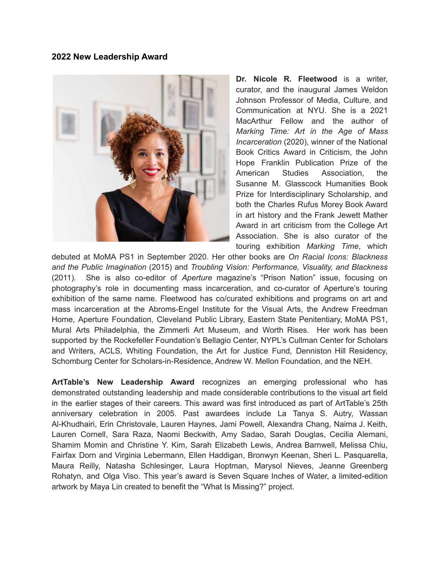## **2022 New Leadership Award**



**Dr. Nicole R. Fleetwood** is a writer, curator, and the inaugural James Weldon Johnson Professor of Media, Culture, and Communication at NYU. She is a 2021 MacArthur Fellow and the author of *Marking Time: Art in the Age of Mass Incarceration* (2020), winner of the National Book Critics Award in Criticism, the John Hope Franklin Publication Prize of the American Studies Association, the Susanne M. Glasscock Humanities Book Prize for Interdisciplinary Scholarship, and both the Charles Rufus Morey Book Award in art history and the Frank Jewett Mather Award in art criticism from the College Art Association. She is also curator of the touring exhibition *Marking Time*, which

debuted at MoMA PS1 in September 2020. Her other books are *On Racial Icons: Blackness and the Public Imagination* (2015) and *Troubling Vision: Performance, Visuality, and Blackness* (2011)*.* She is also co-editor of *Aperture* magazine's "Prison Nation" issue, focusing on photography's role in documenting mass incarceration, and co-curator of Aperture's touring exhibition of the same name. Fleetwood has co/curated exhibitions and programs on art and mass incarceration at the Abroms-Engel Institute for the Visual Arts, the Andrew Freedman Home, Aperture Foundation, Cleveland Public Library, Eastern State Penitentiary, MoMA PS1, Mural Arts Philadelphia, the Zimmerli Art Museum, and Worth Rises. Her work has been supported by the Rockefeller Foundation's Bellagio Center, NYPL's Cullman Center for Scholars and Writers, ACLS, Whiting Foundation, the Art for Justice Fund, Denniston Hill Residency, Schomburg Center for Scholars-in-Residence, Andrew W. Mellon Foundation, and the NEH.

**ArtTable's New Leadership Award** recognizes an emerging professional who has demonstrated outstanding leadership and made considerable contributions to the visual art field in the earlier stages of their careers. This award was first introduced as part of ArtTable's 25th anniversary celebration in 2005. Past awardees include La Tanya S. Autry, Wassan Al-Khudhairi, Erin Christovale, Lauren Haynes, Jami Powell, Alexandra Chang, Naima J. Keith, Lauren Cornell, Sara Raza, Naomi Beckwith, Amy Sadao, Sarah Douglas, Cecilia Alemani, Shamim Momin and Christine Y. Kim, Sarah Elizabeth Lewis, Andrea Barnwell, Melissa Chiu, Fairfax Dorn and Virginia Lebermann, Ellen Haddigan, Bronwyn Keenan, Sheri L. Pasquarella, Maura Reilly, Natasha Schlesinger, Laura Hoptman, Marysol Nieves, Jeanne Greenberg Rohatyn, and Olga Viso. This year's award is Seven Square Inches of Water, a limited-edition artwork by Maya Lin created to benefit the "What Is Missing?" project.